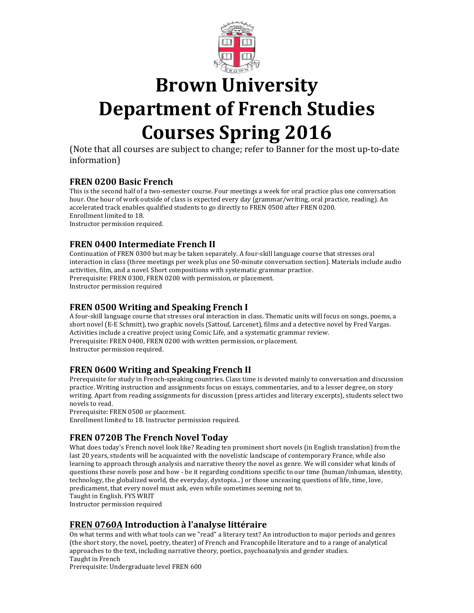

# **Brown University Department of French Studies Courses Spring 2016**

(Note that all courses are subject to change; refer to Banner for the most up-to-date information)

## **FREN 0200 Basic French**

This is the second half of a two-semester course. Four meetings a week for oral practice plus one conversation hour. One hour of work outside of class is expected every day (grammar/writing, oral practice, reading). An accelerated track enables qualified students to go directly to FREN 0500 after FREN 0200. Enrollment limited to 18. Instructor permission required.

# **FREN 0400 Intermediate French II**

Continuation of FREN 0300 but may be taken separately. A four-skill language course that stresses oral interaction in class (three meetings per week plus one 50-minute conversation section). Materials include audio activities, film, and a novel. Short compositions with systematic grammar practice. Prerequisite: FREN 0300, FREN 0200 with permission, or placement. Instructor permission required

## **FREN 0500 Writing and Speaking French I**

A four-skill language course that stresses oral interaction in class. Thematic units will focus on songs, poems, a short novel (E-E Schmitt), two graphic novels (Sattouf, Larcenet), films and a detective novel by Fred Vargas. Activities include a creative project using Comic Life, and a systematic grammar review. Prerequisite: FREN 0400, FREN 0200 with written permission, or placement. Instructor permission required.

## **FREN 0600 Writing and Speaking French II**

Prerequisite for study in French-speaking countries. Class time is devoted mainly to conversation and discussion practice. Writing instruction and assignments focus on essays, commentaries, and to a lesser degree, on story writing. Apart from reading assignments for discussion (press articles and literary excerpts), students select two novels to read.

Prerequisite: FREN 0500 or placement.

Enrollment limited to 18. Instructor permission required.

# **FREN 0720B The French Novel Today**

What does today's French novel look like? Reading ten prominent short novels (in English translation) from the last 20 years, students will be acquainted with the novelistic landscape of contemporary France, while also learning to approach through analysis and narrative theory the novel as genre. We will consider what kinds of questions these novels pose and how - be it regarding conditions specific to our time (human/inhuman, identity, technology, the globalized world, the everyday, dystopia...) or those unceasing questions of life, time, love, predicament, that every novel must ask, even while sometimes seeming not to.

Taught in English. FYS WRIT

Instructor permission required

## **FREN 0760A Introduction à l'analyse littéraire**

On what terms and with what tools can we "read" a literary text? An introduction to major periods and genres (the short story, the novel, poetry, theater) of French and Francophile literature and to a range of analytical approaches to the text, including narrative theory, poetics, psychoanalysis and gender studies. Taught in French

Prerequisite: Undergraduate level FREN 600